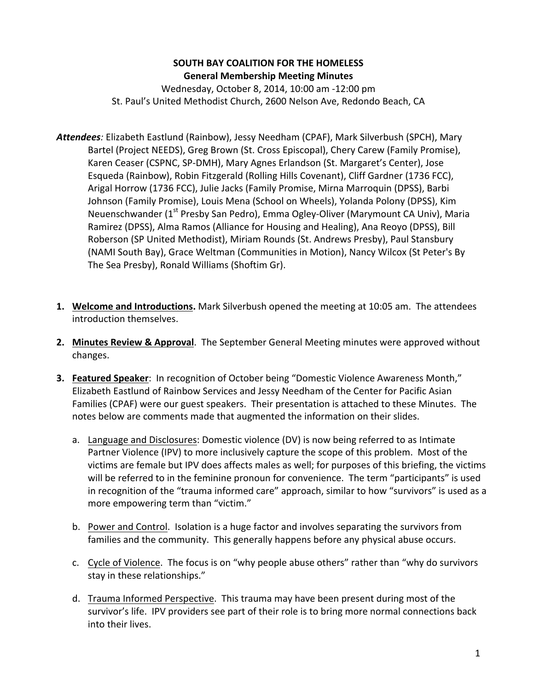## **SOUTH BAY COALITION FOR THE HOMELESS General Membership Meeting Minutes**

Wednesday, October 8, 2014, 10:00 am -12:00 pm St. Paul's United Methodist Church, 2600 Nelson Ave, Redondo Beach, CA

- Attendees: Elizabeth Eastlund (Rainbow), Jessy Needham (CPAF), Mark Silverbush (SPCH), Mary Bartel (Project NEEDS), Greg Brown (St. Cross Episcopal), Chery Carew (Family Promise), Karen Ceaser (CSPNC, SP-DMH), Mary Agnes Erlandson (St. Margaret's Center), Jose Esqueda (Rainbow), Robin Fitzgerald (Rolling Hills Covenant), Cliff Gardner (1736 FCC), Arigal Horrow (1736 FCC), Julie Jacks (Family Promise, Mirna Marroquin (DPSS), Barbi Johnson (Family Promise), Louis Mena (School on Wheels), Yolanda Polony (DPSS), Kim Neuenschwander (1<sup>st</sup> Presby San Pedro), Emma Ogley-Oliver (Marymount CA Univ), Maria Ramirez (DPSS), Alma Ramos (Alliance for Housing and Healing), Ana Reoyo (DPSS), Bill Roberson (SP United Methodist), Miriam Rounds (St. Andrews Presby), Paul Stansbury (NAMI South Bay), Grace Weltman (Communities in Motion), Nancy Wilcox (St Peter's By The Sea Presby), Ronald Williams (Shoftim Gr).
- **1. Welcome and Introductions.** Mark Silverbush opened the meeting at 10:05 am. The attendees introduction themselves.
- **2. Minutes Review & Approval**. The September General Meeting minutes were approved without changes.
- **3. Featured Speaker:** In recognition of October being "Domestic Violence Awareness Month," Elizabeth Eastlund of Rainbow Services and Jessy Needham of the Center for Pacific Asian Families (CPAF) were our guest speakers. Their presentation is attached to these Minutes. The notes below are comments made that augmented the information on their slides.
	- a. Language and Disclosures: Domestic violence (DV) is now being referred to as Intimate Partner Violence (IPV) to more inclusively capture the scope of this problem. Most of the victims are female but IPV does affects males as well; for purposes of this briefing, the victims will be referred to in the feminine pronoun for convenience. The term "participants" is used in recognition of the "trauma informed care" approach, similar to how "survivors" is used as a more empowering term than "victim."
	- b. Power and Control. Isolation is a huge factor and involves separating the survivors from families and the community. This generally happens before any physical abuse occurs.
	- c. Cycle of Violence. The focus is on "why people abuse others" rather than "why do survivors stay in these relationships."
	- d. Trauma Informed Perspective. This trauma may have been present during most of the survivor's life. IPV providers see part of their role is to bring more normal connections back into their lives.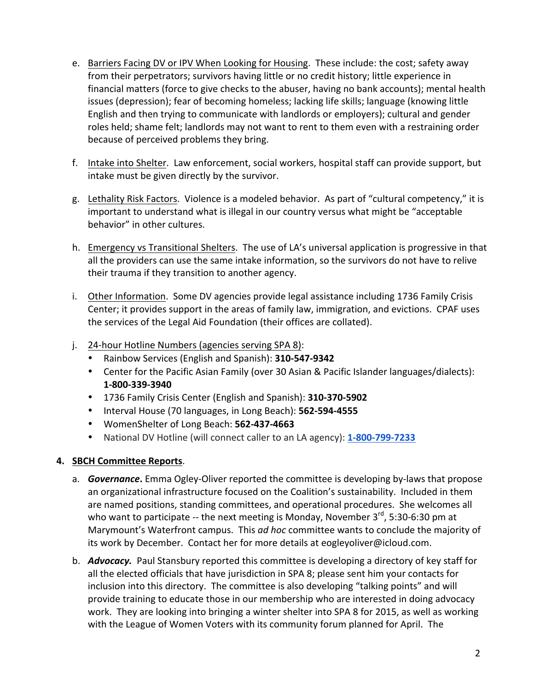- e. Barriers Facing DV or IPV When Looking for Housing. These include: the cost; safety away from their perpetrators; survivors having little or no credit history; little experience in financial matters (force to give checks to the abuser, having no bank accounts); mental health issues (depression); fear of becoming homeless; lacking life skills; language (knowing little English and then trying to communicate with landlords or employers); cultural and gender roles held; shame felt; landlords may not want to rent to them even with a restraining order because of perceived problems they bring.
- f. Intake into Shelter. Law enforcement, social workers, hospital staff can provide support, but intake must be given directly by the survivor.
- g. Lethality Risk Factors. Violence is a modeled behavior. As part of "cultural competency," it is important to understand what is illegal in our country versus what might be "acceptable behavior" in other cultures.
- h. Emergency vs Transitional Shelters. The use of LA's universal application is progressive in that all the providers can use the same intake information, so the survivors do not have to relive their trauma if they transition to another agency.
- i. Other Information. Some DV agencies provide legal assistance including 1736 Family Crisis Center; it provides support in the areas of family law, immigration, and evictions. CPAF uses the services of the Legal Aid Foundation (their offices are collated).
- j. 24-hour Hotline Numbers (agencies serving SPA 8):
	- Rainbow Services (English and Spanish): **310-547-9342**
	- Center for the Pacific Asian Family (over 30 Asian & Pacific Islander languages/dialects): **1-800-339-3940**
	- 1736 Family Crisis Center (English and Spanish): **310-370-5902**
	- Interval House (70 languages, in Long Beach): **562-594-4555**
	- WomenShelter of Long Beach: **562-437-4663**
	- National DV Hotline (will connect caller to an LA agency): **1-800-799-7233**

## **4. SBCH Committee Reports**.

- a. **Governance**. Emma Ogley-Oliver reported the committee is developing by-laws that propose an organizational infrastructure focused on the Coalition's sustainability. Included in them are named positions, standing committees, and operational procedures. She welcomes all who want to participate -- the next meeting is Monday, November  $3<sup>rd</sup>$ , 5:30-6:30 pm at Marymount's Waterfront campus. This *ad hoc* committee wants to conclude the majority of its work by December. Contact her for more details at eogleyoliver@icloud.com.
- b. **Advocacy.** Paul Stansbury reported this committee is developing a directory of key staff for all the elected officials that have jurisdiction in SPA 8; please sent him your contacts for inclusion into this directory. The committee is also developing "talking points" and will provide training to educate those in our membership who are interested in doing advocacy work. They are looking into bringing a winter shelter into SPA 8 for 2015, as well as working with the League of Women Voters with its community forum planned for April. The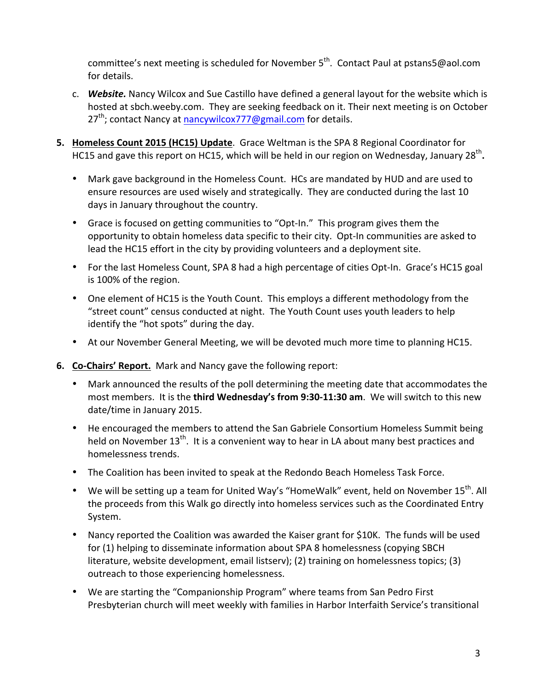committee's next meeting is scheduled for November  $5<sup>th</sup>$ . Contact Paul at pstans5@aol.com for details.

- c. **Website.** Nancy Wilcox and Sue Castillo have defined a general layout for the website which is hosted at sbch.weeby.com. They are seeking feedback on it. Their next meeting is on October  $27<sup>th</sup>$ ; contact Nancy at nancywilcox777@gmail.com for details.
- **5. Homeless Count 2015 (HC15) Update**. Grace Weltman is the SPA 8 Regional Coordinator for HC15 and gave this report on HC15, which will be held in our region on Wednesday, January 28<sup>th</sup>.
	- Mark gave background in the Homeless Count. HCs are mandated by HUD and are used to ensure resources are used wisely and strategically. They are conducted during the last 10 days in January throughout the country.
	- Grace is focused on getting communities to "Opt-In." This program gives them the opportunity to obtain homeless data specific to their city. Opt-In communities are asked to lead the HC15 effort in the city by providing volunteers and a deployment site.
	- For the last Homeless Count, SPA 8 had a high percentage of cities Opt-In. Grace's HC15 goal is 100% of the region.
	- One element of HC15 is the Youth Count. This employs a different methodology from the "street count" census conducted at night. The Youth Count uses youth leaders to help identify the "hot spots" during the day.
	- At our November General Meeting, we will be devoted much more time to planning HC15.
- **6. Co-Chairs' Report.** Mark and Nancy gave the following report:
	- Mark announced the results of the poll determining the meeting date that accommodates the most members. It is the **third Wednesday's from 9:30-11:30 am**. We will switch to this new date/time in January 2015.
	- He encouraged the members to attend the San Gabriele Consortium Homeless Summit being held on November  $13<sup>th</sup>$ . It is a convenient way to hear in LA about many best practices and homelessness trends.
	- The Coalition has been invited to speak at the Redondo Beach Homeless Task Force.
	- We will be setting up a team for United Way's "HomeWalk" event, held on November  $15^{th}$ . All the proceeds from this Walk go directly into homeless services such as the Coordinated Entry System.
	- Nancy reported the Coalition was awarded the Kaiser grant for \$10K. The funds will be used for (1) helping to disseminate information about SPA 8 homelessness (copying SBCH literature, website development, email listserv); (2) training on homelessness topics; (3) outreach to those experiencing homelessness.
	- We are starting the "Companionship Program" where teams from San Pedro First Presbyterian church will meet weekly with families in Harbor Interfaith Service's transitional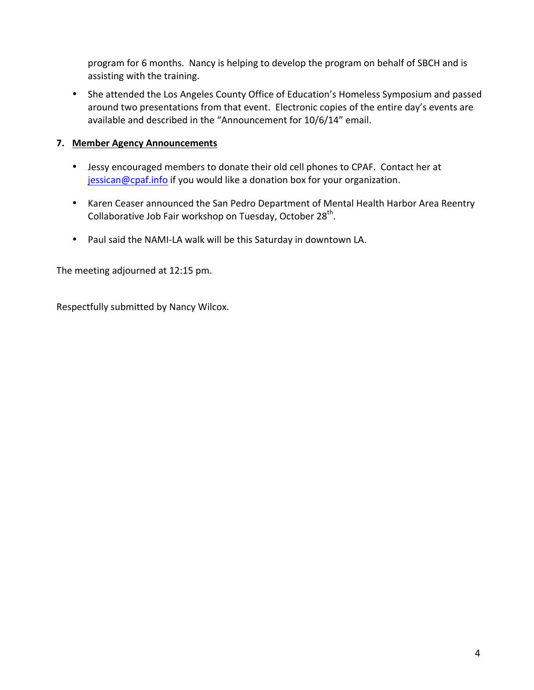program for 6 months. Nancy is helping to develop the program on behalf of SBCH and is assisting with the training.

• She attended the Los Angeles County Office of Education's Homeless Symposium and passed around two presentations from that event. Electronic copies of the entire day's events are available and described in the "Announcement for 10/6/14" email.

## **7. Member Agency Announcements**

- Jessy encouraged members to donate their old cell phones to CPAF. Contact her at jessican@cpaf.info if you would like a donation box for your organization.
- Karen Ceaser announced the San Pedro Department of Mental Health Harbor Area Reentry Collaborative Job Fair workshop on Tuesday, October  $28<sup>th</sup>$ .
- Paul said the NAMI-LA walk will be this Saturday in downtown LA.

The meeting adjourned at 12:15 pm.

Respectfully submitted by Nancy Wilcox.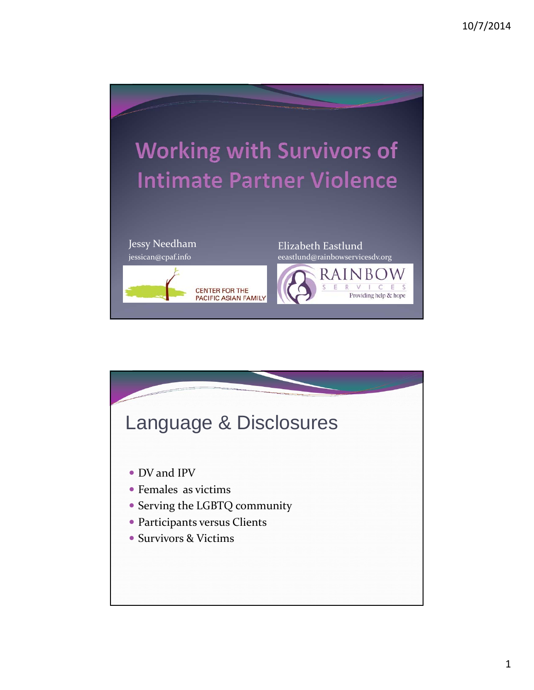

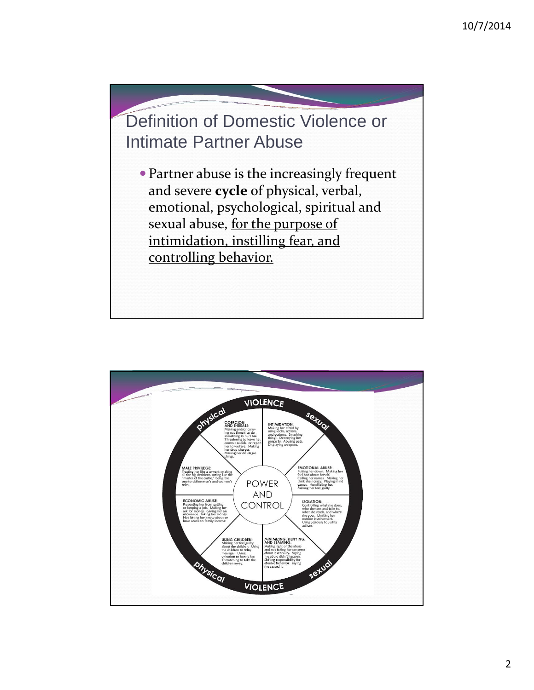

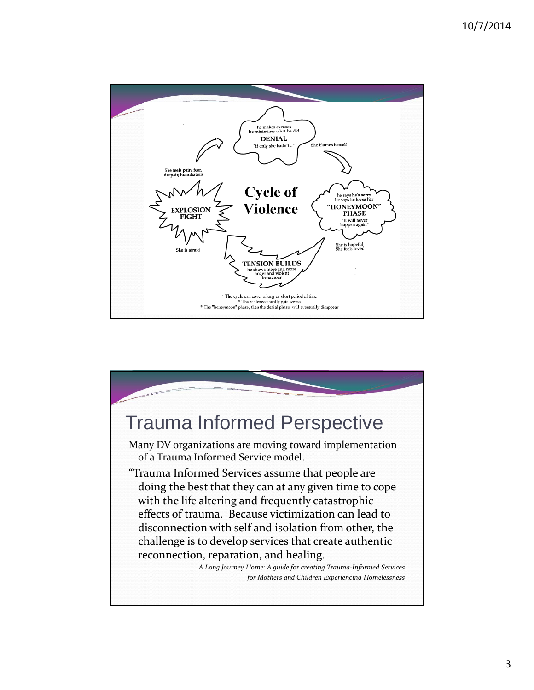

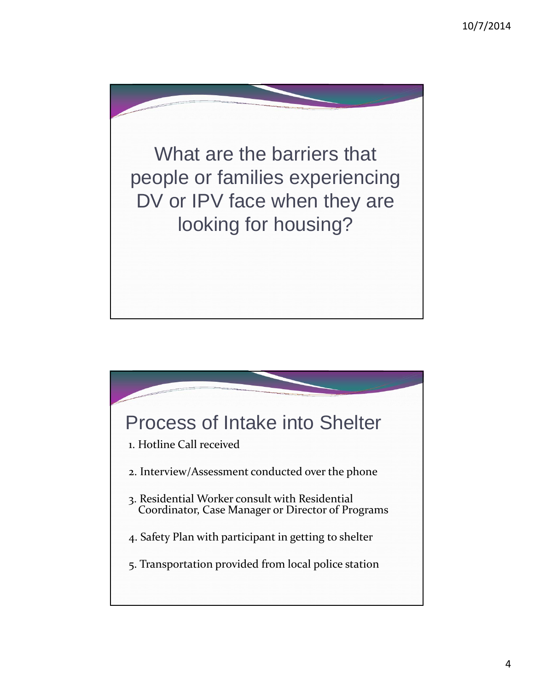

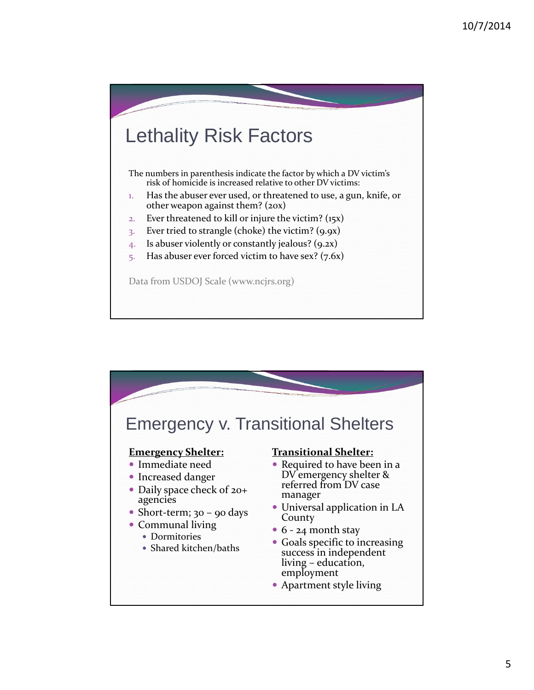

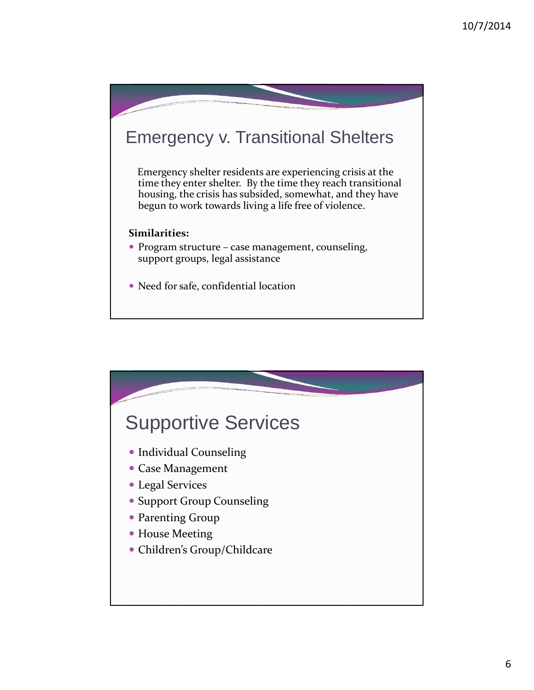

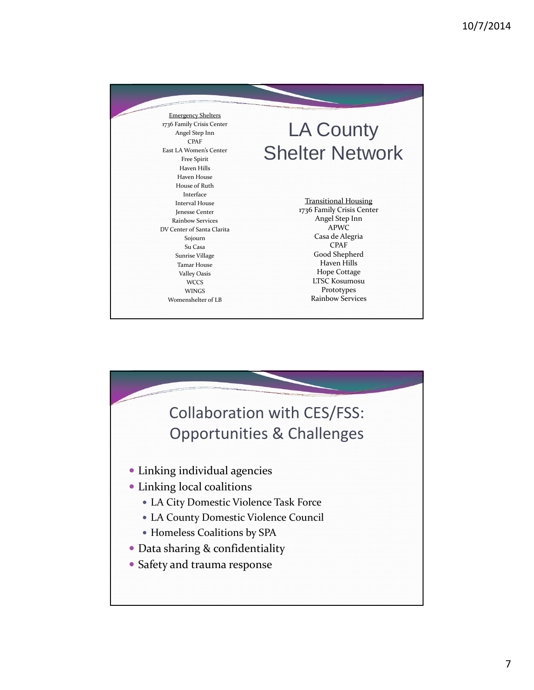| <b>Emergency Shelters</b><br>1736 Family Crisis Center<br>Angel Step Inn<br>CPAF<br>East LA Women's Center<br><b>Free Spirit</b><br><b>Haven Hills</b><br>Haven House<br>House of Ruth                                                                          | <b>LA County</b><br><b>Shelter Network</b><br><b>Transitional Housing</b><br>1736 Family Crisis Center<br>Angel Step Inn<br>APWC<br>Casa de Alegria<br><b>CPAF</b><br>Good Shepherd<br><b>Haven Hills</b><br>Hope Cottage<br><b>LTSC Kosumosu</b><br>Prototypes<br><b>Rainbow Services</b> |
|-----------------------------------------------------------------------------------------------------------------------------------------------------------------------------------------------------------------------------------------------------------------|--------------------------------------------------------------------------------------------------------------------------------------------------------------------------------------------------------------------------------------------------------------------------------------------|
| Interface<br><b>Interval House</b><br>Jenesse Center<br><b>Rainbow Services</b><br>DV Center of Santa Clarita<br>Sojourn<br>Su Casa<br><b>Sunrise Village</b><br><b>Tamar House</b><br><b>Valley Oasis</b><br><b>WCCS</b><br><b>WINGS</b><br>Womenshelter of LB |                                                                                                                                                                                                                                                                                            |